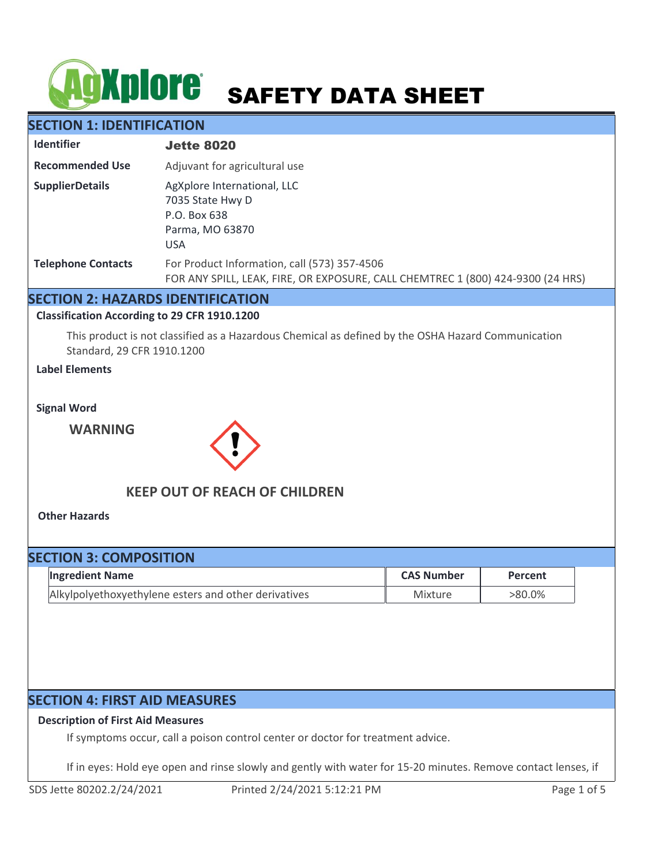# **ACKPIOTE** SAFETY DATA SHEET

# **SECTION 1: IDENTIFICATION**

| <b>Identifier</b>         | <b>Jette 8020</b>                                                                                                               |
|---------------------------|---------------------------------------------------------------------------------------------------------------------------------|
| <b>Recommended Use</b>    | Adjuvant for agricultural use                                                                                                   |
| <b>SupplierDetails</b>    | AgXplore International, LLC<br>7035 State Hwy D<br>P.O. Box 638<br>Parma, MO 63870<br><b>USA</b>                                |
| <b>Telephone Contacts</b> | For Product Information, call (573) 357-4506<br>FOR ANY SPILL, LEAK, FIRE, OR EXPOSURE, CALL CHEMTREC 1 (800) 424-9300 (24 HRS) |

## **SECTION 2: HAZARDS IDENTIFICATION**

#### **Classification According to 29 CFR 1910.1200**

This product is not classified as a Hazardous Chemical as defined by the OSHA Hazard Communication Standard, 29 CFR 1910.1200

## **Label Elements**

**Signal Word**

**WARNING**



# **KEEP OUT OF REACH OF CHILDREN**

**Other Hazards**

# **SECTION 3: COMPOSITION**

| <b>Ingredient Name</b>                               | <b>CAS Number</b> | Percent   |
|------------------------------------------------------|-------------------|-----------|
| Alkylpolyethoxyethylene esters and other derivatives | Mixture           | $>80.0\%$ |

# **SECTION 4: FIRST AID MEASURES**

## **Description of First Aid Measures**

If symptoms occur, call a poison control center or doctor for treatment advice.

If in eyes: Hold eye open and rinse slowly and gently with water for 15-20 minutes. Remove contact lenses, if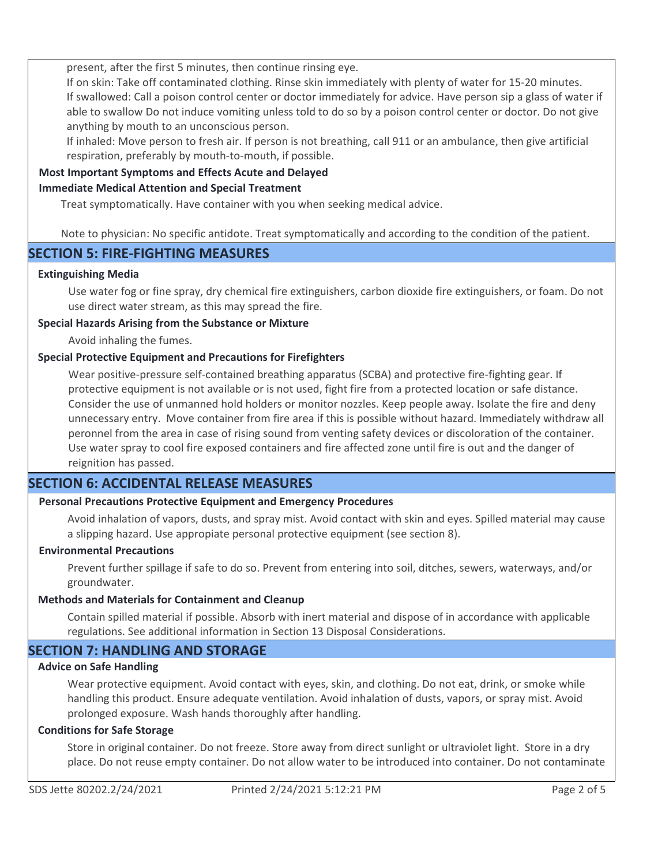present, after the first 5 minutes, then continue rinsing eye.

If on skin: Take off contaminated clothing. Rinse skin immediately with plenty of water for 15-20 minutes. If swallowed: Call a poison control center or doctor immediately for advice. Have person sip a glass of water if able to swallow Do not induce vomiting unless told to do so by a poison control center or doctor. Do not give anything by mouth to an unconscious person.

If inhaled: Move person to fresh air. If person is not breathing, call 911 or an ambulance, then give artificial respiration, preferably by mouth-to-mouth, if possible.

## **Most Important Symptoms and Effects Acute and Delayed**

#### **Immediate Medical Attention and Special Treatment**

Treat symptomatically. Have container with you when seeking medical advice.

Note to physician: No specific antidote. Treat symptomatically and according to the condition of the patient.

# **SECTION 5: FIRE-FIGHTING MEASURES**

#### **Extinguishing Media**

Use water fog or fine spray, dry chemical fire extinguishers, carbon dioxide fire extinguishers, or foam. Do not use direct water stream, as this may spread the fire.

## **Special Hazards Arising from the Substance or Mixture**

Avoid inhaling the fumes.

## **Special Protective Equipment and Precautions for Firefighters**

Wear positive-pressure self-contained breathing apparatus (SCBA) and protective fire-fighting gear. If protective equipment is not available or is not used, fight fire from a protected location or safe distance. Consider the use of unmanned hold holders or monitor nozzles. Keep people away. Isolate the fire and deny unnecessary entry. Move container from fire area if this is possible without hazard. Immediately withdraw all peronnel from the area in case of rising sound from venting safety devices or discoloration of the container. Use water spray to cool fire exposed containers and fire affected zone until fire is out and the danger of reignition has passed.

# **SECTION 6: ACCIDENTAL RELEASE MEASURES**

## **Personal Precautions Protective Equipment and Emergency Procedures**

Avoid inhalation of vapors, dusts, and spray mist. Avoid contact with skin and eyes. Spilled material may cause a slipping hazard. Use appropiate personal protective equipment (see section 8).

#### **Environmental Precautions**

Prevent further spillage if safe to do so. Prevent from entering into soil, ditches, sewers, waterways, and/or groundwater.

#### **Methods and Materials for Containment and Cleanup**

Contain spilled material if possible. Absorb with inert material and dispose of in accordance with applicable regulations. See additional information in Section 13 Disposal Considerations.

# **SECTION 7: HANDLING AND STORAGE**

#### **Advice on Safe Handling**

Wear protective equipment. Avoid contact with eyes, skin, and clothing. Do not eat, drink, or smoke while handling this product. Ensure adequate ventilation. Avoid inhalation of dusts, vapors, or spray mist. Avoid prolonged exposure. Wash hands thoroughly after handling.

#### **Conditions for Safe Storage**

Store in original container. Do not freeze. Store away from direct sunlight or ultraviolet light. Store in a dry place. Do not reuse empty container. Do not allow water to be introduced into container. Do not contaminate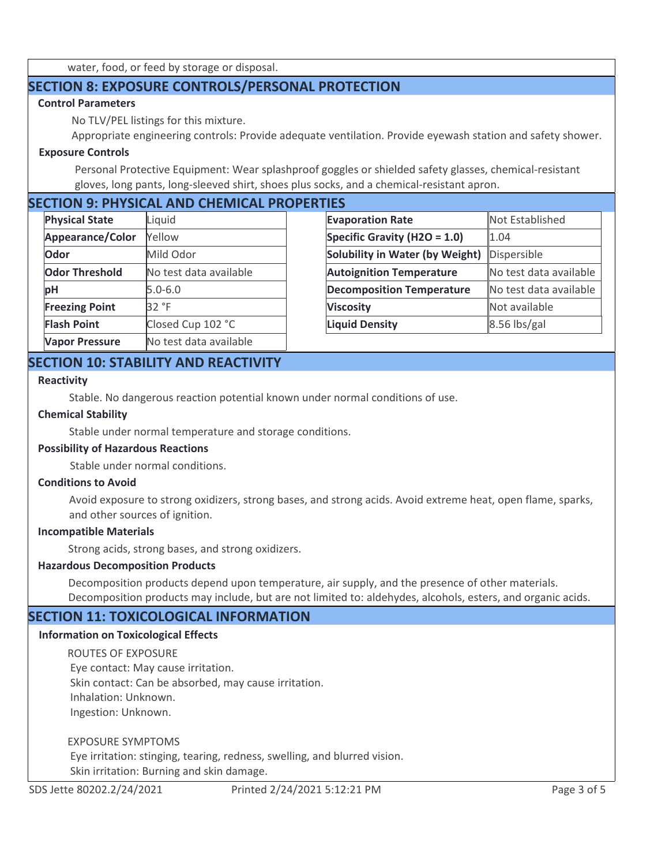water, food, or feed by storage or disposal.

# **SECTION 8: EXPOSURE CONTROLS/PERSONAL PROTECTION**

## **Control Parameters**

No TLV/PEL listings for this mixture.

Appropriate engineering controls: Provide adequate ventilation. Provide eyewash station and safety shower.

#### **Exposure Controls**

Personal Protective Equipment: Wear splashproof goggles or shielded safety glasses, chemical-resistant gloves, long pants, long-sleeved shirt, shoes plus socks, and a chemical-resistant apron.

# **SECTION 9: PHYSICAL AND CHEMICAL PROPERTIES**

| <b>Physical State</b> | Liquid                 | <b>Evapo</b> |
|-----------------------|------------------------|--------------|
| Appearance/Color      | <b>Yellow</b>          | <b>Speci</b> |
| Odor                  | Mild Odor              | Solub        |
| <b>Odor Threshold</b> | No test data available | Autoi        |
| рH                    | 5.0-6.0                | Decor        |
| <b>Freezing Point</b> | 32 °F                  | <b>Visco</b> |
| <b>Flash Point</b>    | Closed Cup 102 °C      | Liquid       |
| <b>Vapor Pressure</b> | No test data available |              |

| Not Established        |
|------------------------|
| 1.04                   |
| Dispersible            |
| No test data available |
| No test data available |
| Not available          |
| $8.56$ lbs/gal         |
|                        |

# **SECTION 10: STABILITY AND REACTIVITY**

#### **Reactivity**

Stable. No dangerous reaction potential known under normal conditions of use.

#### **Chemical Stability**

Stable under normal temperature and storage conditions.

## **Possibility of Hazardous Reactions**

Stable under normal conditions.

#### **Conditions to Avoid**

Avoid exposure to strong oxidizers, strong bases, and strong acids. Avoid extreme heat, open flame, sparks, and other sources of ignition.

#### **Incompatible Materials**

Strong acids, strong bases, and strong oxidizers.

#### **Hazardous Decomposition Products**

Decomposition products depend upon temperature, air supply, and the presence of other materials. Decomposition products may include, but are not limited to: aldehydes, alcohols, esters, and organic acids.

## **SECTION 11: TOXICOLOGICAL INFORMATION**

#### **Information on Toxicological Effects**

ROUTES OF EXPOSURE Eye contact: May cause irritation. Skin contact: Can be absorbed, may cause irritation. Inhalation: Unknown. Ingestion: Unknown.

EXPOSURE SYMPTOMS

 Eye irritation: stinging, tearing, redness, swelling, and blurred vision. Skin irritation: Burning and skin damage.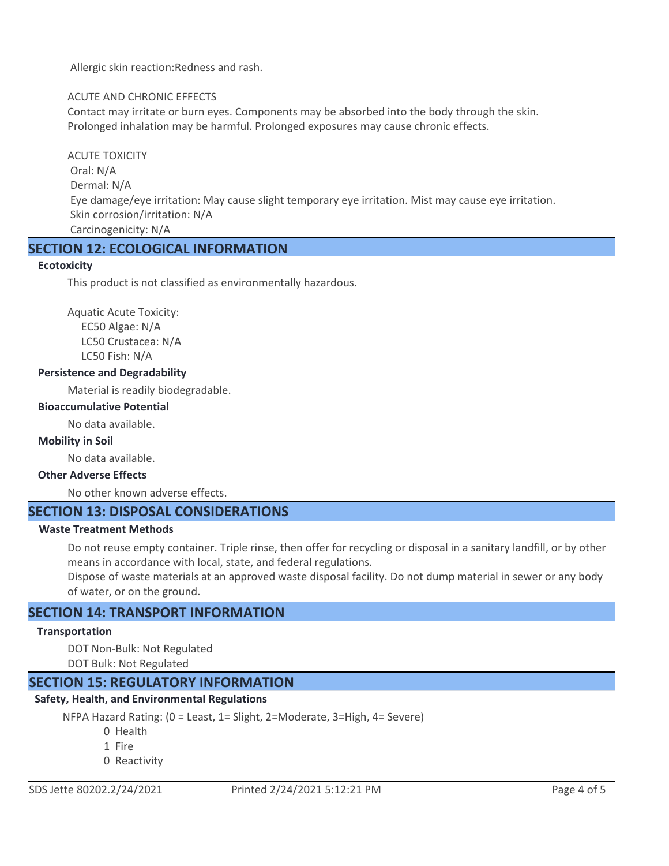Allergic skin reaction:Redness and rash.

## ACUTE AND CHRONIC EFFECTS

Contact may irritate or burn eyes. Components may be absorbed into the body through the skin. Prolonged inhalation may be harmful. Prolonged exposures may cause chronic effects.

### ACUTE TOXICITY

 Oral: N/A Dermal: N/A Eye damage/eye irritation: May cause slight temporary eye irritation. Mist may cause eye irritation. Skin corrosion/irritation: N/A Carcinogenicity: N/A

# **SECTION 12: ECOLOGICAL INFORMATION**

## **Ecotoxicity**

This product is not classified as environmentally hazardous.

Aquatic Acute Toxicity: EC50 Algae: N/A LC50 Crustacea: N/A LC50 Fish: N/A

## **Persistence and Degradability**

Material is readily biodegradable.

#### **Bioaccumulative Potential**

No data available.

#### **Mobility in Soil**

No data available.

## **Other Adverse Effects**

No other known adverse effects.

# **SECTION 13: DISPOSAL CONSIDERATIONS**

#### **Waste Treatment Methods**

Do not reuse empty container. Triple rinse, then offer for recycling or disposal in a sanitary landfill, or by other means in accordance with local, state, and federal regulations.

Dispose of waste materials at an approved waste disposal facility. Do not dump material in sewer or any body of water, or on the ground.

# **SECTION 14: TRANSPORT INFORMATION**

#### **Transportation**

DOT Non-Bulk: Not Regulated

DOT Bulk: Not Regulated

# **SECTION 15: REGULATORY INFORMATION**

# **Safety, Health, and Environmental Regulations**

NFPA Hazard Rating: (0 = Least, 1= Slight, 2=Moderate, 3=High, 4= Severe)

0 Health

- 1 Fire
- 0 Reactivity